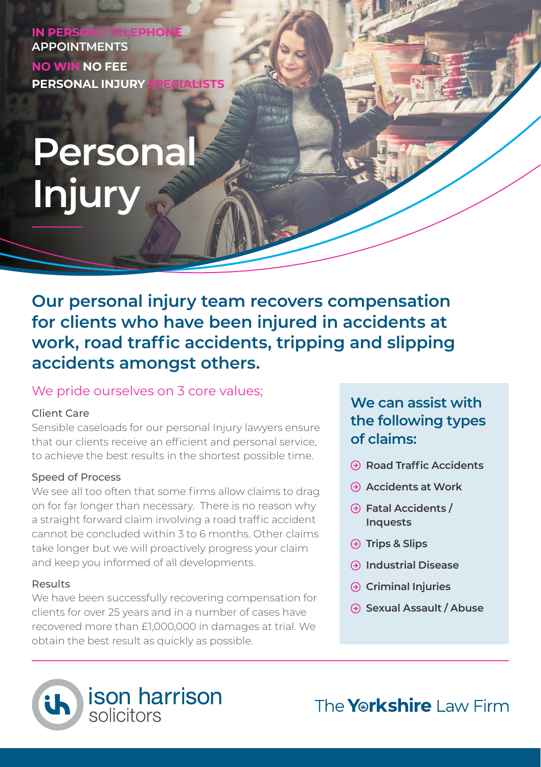**IN PERSON / TEL APPOINTMENTS NO WIN NO FEE PERSONAL INJURY** 

# **Personal Injury**

**Our personal injury team recovers compensation for clients who have been injured in accidents at work, road traffic accidents, tripping and slipping accidents amongst others.**

#### We pride ourselves on 3 core values;

#### Client Care

Sensible caseloads for our personal Injury lawyers ensure that our clients receive an efficient and personal service, to achieve the best results in the shortest possible time.

#### Speed of Process

We see all too often that some firms allow claims to drag on for far longer than necessary. There is no reason why a straight forward claim involving a road traffic accident cannot be concluded within 3 to 6 months. Other claims take longer but we will proactively progress your claim and keep you informed of all developments.

#### Results

We have been successfully recovering compensation for clients for over 25 years and in a number of cases have recovered more than £1,000,000 in damages at trial. We obtain the best result as quickly as possible.

## **We can assist with the following types of claims:**

- **Road Traffic Accidents**
- **Accidents at Work**
- **Fatal Accidents / Inquests**
- **Trips & Slips**
- **Industrial Disease**
- **Criminal Injuries**
- **Sexual Assault / Abuse**



The **Yorkshire** Law Firm